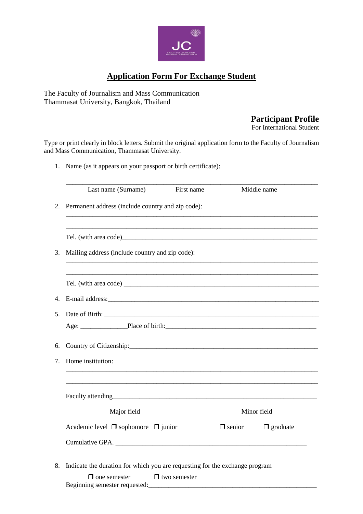

# **Application Form For Exchange Student**

The Faculty of Journalism and Mass Communication Thammasat University, Bangkok, Thailand

## **Participant Profile**

For International Student

Type or print clearly in block letters. Submit the original application form to the Faculty of Journalism and Mass Communication, Thammasat University.

1. Name (as it appears on your passport or birth certificate):

|             | Last name (Surname)                                                                                                                                                                                                                | First name          |               | Middle name     |
|-------------|------------------------------------------------------------------------------------------------------------------------------------------------------------------------------------------------------------------------------------|---------------------|---------------|-----------------|
| 2.          | Permanent address (include country and zip code):                                                                                                                                                                                  |                     |               |                 |
|             |                                                                                                                                                                                                                                    |                     |               |                 |
|             | Tel. (with area code) <b>Example 2018</b> 2019 12:00 12:00 12:00 12:00 12:00 12:00 12:00 12:00 12:00 12:00 12:00 12:00 12:00 12:00 12:00 12:00 12:00 12:00 12:00 12:00 12:00 12:00 12:00 12:00 12:00 12:00 12:00 12:00 12:00 12:00 |                     |               |                 |
| 3.          | Mailing address (include country and zip code):                                                                                                                                                                                    |                     |               |                 |
|             |                                                                                                                                                                                                                                    |                     |               |                 |
|             |                                                                                                                                                                                                                                    |                     |               |                 |
| $4_{\cdot}$ |                                                                                                                                                                                                                                    |                     |               |                 |
| 5.          |                                                                                                                                                                                                                                    |                     |               |                 |
|             |                                                                                                                                                                                                                                    |                     |               |                 |
| 6.          |                                                                                                                                                                                                                                    |                     |               |                 |
| $7_{\cdot}$ | Home institution:                                                                                                                                                                                                                  |                     |               |                 |
|             |                                                                                                                                                                                                                                    |                     |               |                 |
|             | Faculty attending                                                                                                                                                                                                                  |                     |               |                 |
|             | Major field                                                                                                                                                                                                                        |                     | Minor field   |                 |
|             | Academic level $\Box$ sophomore $\Box$ junior                                                                                                                                                                                      |                     | $\Box$ senior | $\Box$ graduate |
|             |                                                                                                                                                                                                                                    |                     |               |                 |
|             |                                                                                                                                                                                                                                    |                     |               |                 |
| 8.          | Indicate the duration for which you are requesting for the exchange program                                                                                                                                                        |                     |               |                 |
|             | $\Box$ one semester<br>Beginning semester requested:                                                                                                                                                                               | $\Box$ two semester |               |                 |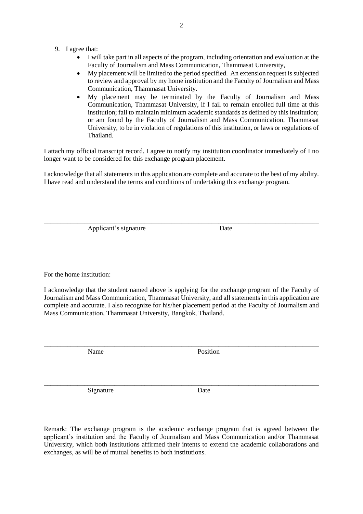- 9. I agree that:
	- I will take part in all aspects of the program, including orientation and evaluation at the Faculty of Journalism and Mass Communication, Thammasat University,
	- My placement will be limited to the period specified. An extension request is subjected to review and approval by my home institution and the Faculty of Journalism and Mass Communication, Thammasat University.
	- My placement may be terminated by the Faculty of Journalism and Mass Communication, Thammasat University, if I fail to remain enrolled full time at this institution; fall to maintain minimum academic standards as defined by this institution; or am found by the Faculty of Journalism and Mass Communication, Thammasat University, to be in violation of regulations of this institution, or laws or regulations of Thailand.

I attach my official transcript record. I agree to notify my institution coordinator immediately of I no longer want to be considered for this exchange program placement.

I acknowledge that all statements in this application are complete and accurate to the best of my ability. I have read and understand the terms and conditions of undertaking this exchange program.

\_\_\_\_\_\_\_\_\_\_\_\_\_\_\_\_\_\_\_\_\_\_\_\_\_\_\_\_\_\_\_\_\_\_\_\_\_\_\_\_\_\_\_\_\_\_\_\_\_\_\_\_\_\_\_\_\_\_\_\_\_\_\_\_\_\_\_\_\_\_\_\_\_\_\_\_\_\_\_\_\_\_

Applicant's signature Date

For the home institution:

I acknowledge that the student named above is applying for the exchange program of the Faculty of Journalism and Mass Communication, Thammasat University, and all statements in this application are complete and accurate. I also recognize for his/her placement period at the Faculty of Journalism and Mass Communication, Thammasat University, Bangkok, Thailand.

\_\_\_\_\_\_\_\_\_\_\_\_\_\_\_\_\_\_\_\_\_\_\_\_\_\_\_\_\_\_\_\_\_\_\_\_\_\_\_\_\_\_\_\_\_\_\_\_\_\_\_\_\_\_\_\_\_\_\_\_\_\_\_\_\_\_\_\_\_\_\_\_\_\_\_\_\_\_\_\_\_\_

Name Position

Signature Date

Remark: The exchange program is the academic exchange program that is agreed between the applicant's institution and the Faculty of Journalism and Mass Communication and/or Thammasat University, which both institutions affirmed their intents to extend the academic collaborations and exchanges, as will be of mutual benefits to both institutions.

\_\_\_\_\_\_\_\_\_\_\_\_\_\_\_\_\_\_\_\_\_\_\_\_\_\_\_\_\_\_\_\_\_\_\_\_\_\_\_\_\_\_\_\_\_\_\_\_\_\_\_\_\_\_\_\_\_\_\_\_\_\_\_\_\_\_\_\_\_\_\_\_\_\_\_\_\_\_\_\_\_\_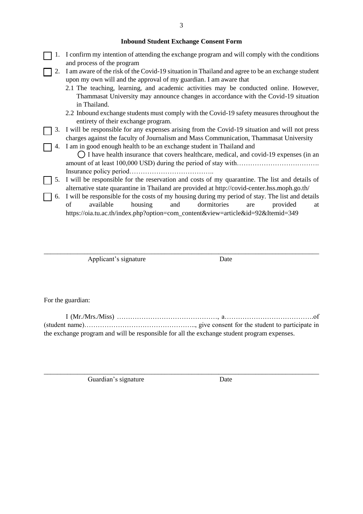#### **Inbound Student Exchange Consent Form**

- 1. I confirm my intention of attending the exchange program and will comply with the conditions and process of the program
- 2. I am aware of the risk of the Covid-19 situation in Thailand and agree to be an exchange student upon my own will and the approval of my guardian. I am aware that
	- 2.1 The teaching, learning, and academic activities may be conducted online. However, Thammasat University may announce changes in accordance with the Covid-19 situation in Thailand.
	- 2.2 Inbound exchange students must comply with the Covid-19 safety measures throughout the entirety of their exchange program.
	- 3. I will be responsible for any expenses arising from the Covid-19 situation and will not press charges against the faculty of Journalism and Mass Communication, Thammasat University
	- 4. I am in good enough health to be an exchange student in Thailand and

 $\bigcirc$  I have health insurance that covers healthcare, medical, and covid-19 expenses (in an amount of at least 100,000 USD) during the period of stay with……………………………………………… Insurance policy period………………………………..

- 5. I will be responsible for the reservation and costs of my quarantine. The list and details of alternative state quarantine in Thailand are provided at http://covid-center.hss.moph.go.th/
	- 6. I will be responsible for the costs of my housing during my period of stay. The list and details of available housing and dormitories are provided at https://oia.tu.ac.th/index.php?option=com\_content&view=article&id=92&Itemid=349

\_\_\_\_\_\_\_\_\_\_\_\_\_\_\_\_\_\_\_\_\_\_\_\_\_\_\_\_\_\_\_\_\_\_\_\_\_\_\_\_\_\_\_\_\_\_\_\_\_\_\_\_\_\_\_\_\_\_\_\_\_\_\_\_\_\_\_\_\_\_\_\_\_\_\_\_\_\_\_\_\_\_

Applicant's signature Date

For the guardian:

I (Mr./Mrs./Miss) ………………………………………, a………………………………….of (student name)………………………………………….., give consent for the student to participate in the exchange program and will be responsible for all the exchange student program expenses.

\_\_\_\_\_\_\_\_\_\_\_\_\_\_\_\_\_\_\_\_\_\_\_\_\_\_\_\_\_\_\_\_\_\_\_\_\_\_\_\_\_\_\_\_\_\_\_\_\_\_\_\_\_\_\_\_\_\_\_\_\_\_\_\_\_\_\_\_\_\_\_\_\_\_\_\_\_\_\_\_\_\_

Guardian's signature Date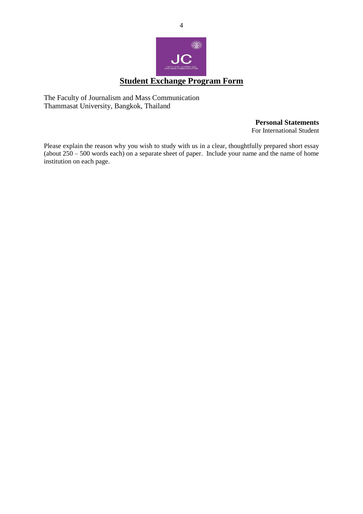

The Faculty of Journalism and Mass Communication Thammasat University, Bangkok, Thailand

**Personal Statements**

For International Student

Please explain the reason why you wish to study with us in a clear, thoughtfully prepared short essay (about  $250 - 500$  words each) on a separate sheet of paper. Include your name and the name of home institution on each page.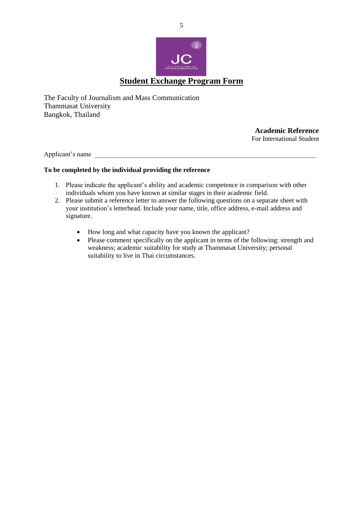

The Faculty of Journalism and Mass Communication Thammasat University Bangkok, Thailand

> **Academic Reference** For International Student

Applicant's name

#### **To be completed by the individual providing the reference**

- 1. Please indicate the applicant's ability and academic competence in comparison with other individuals whom you have known at similar stages in their academic field.
- 2. Please submit a reference letter to answer the following questions on a separate sheet with your institution's letterhead. Include your name, title, office address, e-mail address and signature.
	- How long and what capacity have you known the applicant?
	- Please comment specifically on the applicant in terms of the following: strength and weakness; academic suitability for study at Thammasat University; personal suitability to live in Thai circumstances.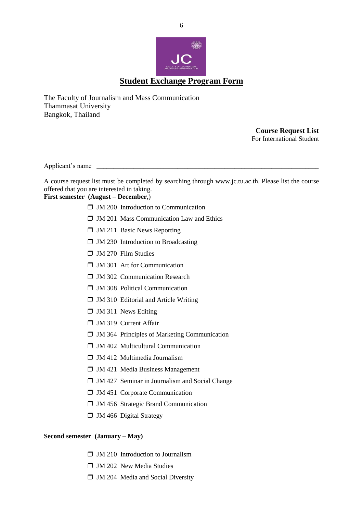

The Faculty of Journalism and Mass Communication Thammasat University Bangkok, Thailand

> **Course Request List** For International Student

Applicant's name

A course request list must be completed by searching through www.jc.tu.ac.th. Please list the course offered that you are interested in taking.

### **First semester (August – December,**)

- $\Box$  JM 200 Introduction to Communication
- $\Box$  JM 201 Mass Communication Law and Ethics
- $\Box$  JM 211 Basic News Reporting
- $\Box$  JM 230 Introduction to Broadcasting
- $\Box$  JM 270 Film Studies
- **J** JM 301 Art for Communication
- **T** JM 302 Communication Research
- $\Box$  JM 308 Political Communication
- $\Box$  JM 310 Editorial and Article Writing
- $\Box$  JM 311 News Editing
- **J** JM 319 Current Affair
- $\Box$  JM 364 Principles of Marketing Communication
- $\Box$  JM 402 Multicultural Communication
- $\Box$  JM 412 Multimedia Journalism
- $\Box$  JM 421 Media Business Management
- $\Box$  JM 427 Seminar in Journalism and Social Change
- $\Box$  JM 451 Corporate Communication
- **J** JM 456 Strategic Brand Communication
- $\Box$  JM 466 Digital Strategy

#### **Second semester (January – May)**

- $\Box$  JM 210 Introduction to Journalism
- $\Box$  JM 202 New Media Studies
- $\Box$  JM 204 Media and Social Diversity